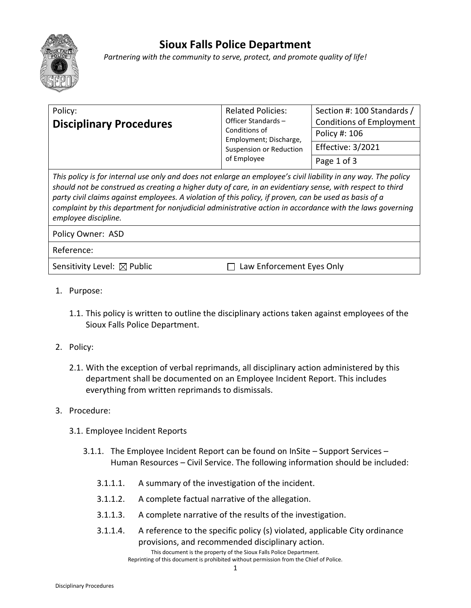

## **Sioux Falls Police Department**

*Partnering with the community to serve, protect, and promote quality of life!*

| Policy:                                                                                                                                                                                                                                                                                                                               | <b>Related Policies:</b>                                                                                       | Section #: 100 Standards /      |
|---------------------------------------------------------------------------------------------------------------------------------------------------------------------------------------------------------------------------------------------------------------------------------------------------------------------------------------|----------------------------------------------------------------------------------------------------------------|---------------------------------|
| <b>Disciplinary Procedures</b>                                                                                                                                                                                                                                                                                                        | Officer Standards-<br>Conditions of<br>Employment; Discharge,<br><b>Suspension or Reduction</b><br>of Employee | <b>Conditions of Employment</b> |
|                                                                                                                                                                                                                                                                                                                                       |                                                                                                                | Policy #: 106                   |
|                                                                                                                                                                                                                                                                                                                                       |                                                                                                                | <b>Effective: 3/2021</b>        |
|                                                                                                                                                                                                                                                                                                                                       |                                                                                                                | Page 1 of 3                     |
| This policy is for internal use only and does not enlarge an employee's civil liability in any way. The policy<br>should not be construed as creating a higher duty of care, in an evidentiary sense, with respect to third<br>party civil claims against employees. A violation of this policy, if proven, can be used as basis of a |                                                                                                                |                                 |

*complaint by this department for nonjudicial administrative action in accordance with the laws governing employee discipline.*

Policy Owner: ASD

Reference:

Sensitivity Level:  $\boxtimes$  Public  $\Box$  Law Enforcement Eyes Only

- 1. Purpose:
	- 1.1. This policy is written to outline the disciplinary actions taken against employees of the Sioux Falls Police Department.
- 2. Policy:
	- 2.1. With the exception of verbal reprimands, all disciplinary action administered by this department shall be documented on an Employee Incident Report. This includes everything from written reprimands to dismissals.
- 3. Procedure:
	- 3.1. Employee Incident Reports
		- 3.1.1. The Employee Incident Report can be found on InSite Support Services Human Resources – Civil Service. The following information should be included:
			- 3.1.1.1. A summary of the investigation of the incident.
			- 3.1.1.2. A complete factual narrative of the allegation.
			- 3.1.1.3. A complete narrative of the results of the investigation.
			- This document is the property of the Sioux Falls Police Department. 3.1.1.4. A reference to the specific policy (s) violated, applicable City ordinance provisions, and recommended disciplinary action.

Reprinting of this document is prohibited without permission from the Chief of Police.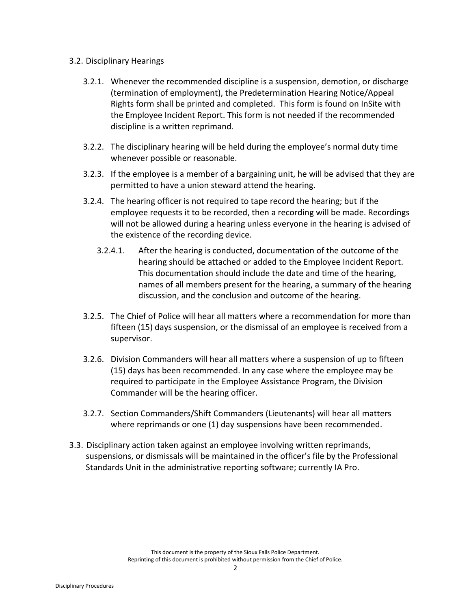## 3.2. Disciplinary Hearings

- 3.2.1. Whenever the recommended discipline is a suspension, demotion, or discharge (termination of employment), the Predetermination Hearing Notice/Appeal Rights form shall be printed and completed. This form is found on InSite with the Employee Incident Report. This form is not needed if the recommended discipline is a written reprimand.
- 3.2.2. The disciplinary hearing will be held during the employee's normal duty time whenever possible or reasonable.
- 3.2.3. If the employee is a member of a bargaining unit, he will be advised that they are permitted to have a union steward attend the hearing.
- 3.2.4. The hearing officer is not required to tape record the hearing; but if the employee requests it to be recorded, then a recording will be made. Recordings will not be allowed during a hearing unless everyone in the hearing is advised of the existence of the recording device.
	- 3.2.4.1. After the hearing is conducted, documentation of the outcome of the hearing should be attached or added to the Employee Incident Report. This documentation should include the date and time of the hearing, names of all members present for the hearing, a summary of the hearing discussion, and the conclusion and outcome of the hearing.
- 3.2.5. The Chief of Police will hear all matters where a recommendation for more than fifteen (15) days suspension, or the dismissal of an employee is received from a supervisor.
- 3.2.6. Division Commanders will hear all matters where a suspension of up to fifteen (15) days has been recommended. In any case where the employee may be required to participate in the Employee Assistance Program, the Division Commander will be the hearing officer.
- 3.2.7. Section Commanders/Shift Commanders (Lieutenants) will hear all matters where reprimands or one (1) day suspensions have been recommended.
- 3.3. Disciplinary action taken against an employee involving written reprimands, suspensions, or dismissals will be maintained in the officer's file by the Professional Standards Unit in the administrative reporting software; currently IA Pro.